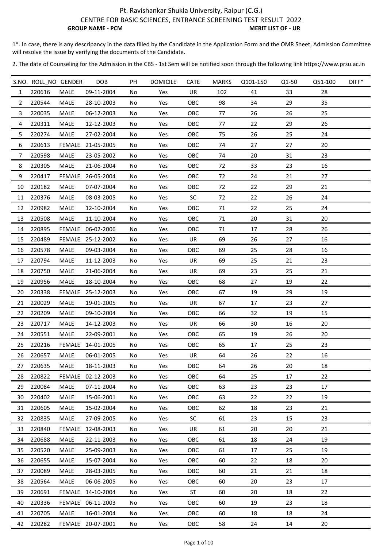1\*. In case, there is any descripancy in the data filled by the Candidate in the Application Form and the OMR Sheet, Admission Committee will resolve the issue by verifying the documents of the Candidate.

|                | S.NO. ROLL NO GENDER |               | <b>DOB</b>        | PH  | <b>DOMICILE</b> | <b>CATE</b> | <b>MARKS</b> | Q101-150 | Q1-50 | Q51-100 | DIFF* |
|----------------|----------------------|---------------|-------------------|-----|-----------------|-------------|--------------|----------|-------|---------|-------|
| $\mathbf{1}$   | 220616               | <b>MALE</b>   | 09-11-2004        | No  | Yes             | UR          | 102          | 41       | 33    | 28      |       |
| $\overline{2}$ | 220544               | MALE          | 28-10-2003        | No  | Yes             | OBC         | 98           | 34       | 29    | 35      |       |
| 3              | 220035               | <b>MALE</b>   | 06-12-2003        | No  | Yes             | OBC         | 77           | 26       | 26    | 25      |       |
| 4              | 220311               | MALE          | 12-12-2003        | No  | Yes             | OBC         | 77           | 22       | 29    | 26      |       |
| 5              | 220274               | MALE          | 27-02-2004        | No  | Yes             | OBC         | 75           | 26       | 25    | 24      |       |
| 6              | 220613               |               | FEMALE 21-05-2005 | No  | Yes             | OBC         | 74           | 27       | 27    | 20      |       |
| $\overline{7}$ | 220598               | MALE          | 23-05-2002        | No  | Yes             | OBC         | 74           | 20       | 31    | 23      |       |
| 8              | 220305               | MALE          | 21-06-2004        | No  | Yes             | OBC         | 72           | 33       | 23    | 16      |       |
| 9              | 220417               |               | FEMALE 26-05-2004 | No  | Yes             | OBC         | 72           | 24       | 21    | 27      |       |
| 10             | 220182               | MALE          | 07-07-2004        | No  | Yes             | OBC         | 72           | 22       | 29    | 21      |       |
| 11             | 220376               | MALE          | 08-03-2005        | No  | Yes             | <b>SC</b>   | 72           | 22       | 26    | 24      |       |
| 12             | 220982               | MALE          | 12-10-2004        | No  | Yes             | OBC         | 71           | 22       | 25    | 24      |       |
| 13             | 220508               | MALE          | 11-10-2004        | No  | Yes             | OBC         | 71           | 20       | 31    | 20      |       |
| 14             | 220895               |               | FEMALE 06-02-2006 | No  | Yes             | OBC         | 71           | 17       | 28    | 26      |       |
| 15             | 220489               | FEMALE        | 25-12-2002        | No  | Yes             | UR          | 69           | 26       | 27    | 16      |       |
| 16             | 220578               | MALE          | 09-03-2004        | No  | Yes             | OBC         | 69           | 25       | 28    | 16      |       |
| 17             | 220794               | MALE          | 11-12-2003        | No  | Yes             | UR          | 69           | 25       | 21    | 23      |       |
| 18             | 220750               | MALE          | 21-06-2004        | No  | Yes             | UR          | 69           | 23       | 25    | 21      |       |
| 19             | 220956               | MALE          | 18-10-2004        | No  | Yes             | OBC         | 68           | 27       | 19    | 22      |       |
| 20             | 220338               | <b>FEMALE</b> | 25-12-2003        | No  | Yes             | OBC         | 67           | 19       | 29    | 19      |       |
| 21             | 220029               | MALE          | 19-01-2005        | No  | Yes             | UR          | 67           | 17       | 23    | 27      |       |
| 22             | 220209               | MALE          | 09-10-2004        | No  | Yes             | OBC         | 66           | 32       | 19    | 15      |       |
| 23             | 220717               | MALE          | 14-12-2003        | No  | Yes             | UR          | 66           | 30       | 16    | 20      |       |
| 24             | 220551               | MALE          | 22-09-2001        | No  | Yes             | OBC         | 65           | 19       | 26    | 20      |       |
| 25             | 220216               |               | FEMALE 14-01-2005 | No  | Yes             | OBC         | 65           | 17       | 25    | 23      |       |
| 26             | 220657               | MALE          | 06-01-2005        | No  | Yes             | UR          | 64           | 26       | 22    | 16      |       |
| 27             | 220635               | MALE          | 18-11-2003        | No  | Yes             | OBC         | 64           | 26       | 20    | 18      |       |
| 28             | 220822               |               | FEMALE 02-12-2003 | No. | Yes             | <b>OBC</b>  | 64           | 25       | 17    | 22      |       |
| 29             | 220084               | MALE          | 07-11-2004        | No  | Yes             | OBC         | 63           | 23       | 23    | 17      |       |
| 30             | 220402               | MALE          | 15-06-2001        | No  | Yes             | OBC         | 63           | 22       | 22    | 19      |       |
| 31             | 220605               | <b>MALE</b>   | 15-02-2004        | No  | Yes             | <b>OBC</b>  | 62           | 18       | 23    | 21      |       |
| 32             | 220835               | MALE          | 27-09-2005        | No  | Yes             | SC          | 61           | 23       | 15    | 23      |       |
| 33             | 220840               | FEMALE        | 12-08-2003        | No  | Yes             | UR          | 61           | 20       | 20    | 21      |       |
| 34             | 220688               | MALE          | 22-11-2003        | No  | Yes             | OBC         | 61           | 18       | 24    | 19      |       |
| 35             | 220520               | MALE          | 25-09-2003        | No  | Yes             | OBC         | 61           | 17       | 25    | 19      |       |
| 36             | 220655               | <b>MALE</b>   | 15-07-2004        | No  | Yes             | <b>OBC</b>  | 60           | 22       | 18    | 20      |       |
| 37             | 220089               | <b>MALE</b>   | 28-03-2005        | No  | Yes             | OBC         | 60           | 21       | 21    | 18      |       |
| 38             | 220564               | MALE          | 06-06-2005        | No  | Yes             | OBC         | 60           | 20       | 23    | 17      |       |
| 39             | 220691               |               | FEMALE 14-10-2004 | No  | Yes             | ST          | 60           | 20       | 18    | 22      |       |
| 40             | 220336               |               | FEMALE 06-11-2003 | No  | Yes             | OBC         | 60           | 19       | 23    | 18      |       |
| 41             | 220705               | MALE          | 16-01-2004        | No  | Yes             | <b>OBC</b>  | 60           | 18       | 18    | 24      |       |
| 42             | 220282               |               | FEMALE 20-07-2001 | No  | Yes             | OBC         | 58           | 24       | 14    | 20      |       |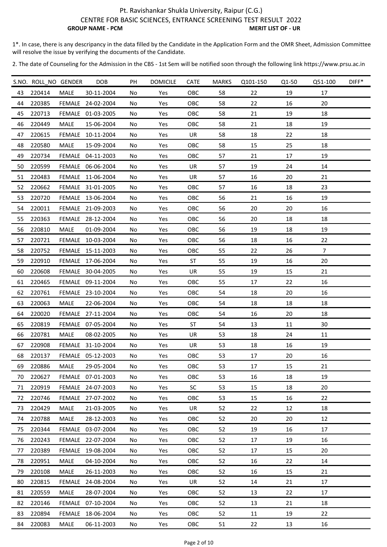1\*. In case, there is any descripancy in the data filled by the Candidate in the Application Form and the OMR Sheet, Admission Committee will resolve the issue by verifying the documents of the Candidate.

|    | S.NO. ROLL_NO GENDER |             | <b>DOB</b>        | PH | <b>DOMICILE</b> | <b>CATE</b> | <b>MARKS</b> | Q101-150 | Q1-50 | Q51-100        | DIFF* |
|----|----------------------|-------------|-------------------|----|-----------------|-------------|--------------|----------|-------|----------------|-------|
| 43 | 220414               | <b>MALE</b> | 30-11-2004        | No | Yes             | OBC         | 58           | 22       | 19    | 17             |       |
| 44 | 220385               |             | FEMALE 24-02-2004 | No | Yes             | OBC         | 58           | 22       | 16    | 20             |       |
| 45 | 220713               |             | FEMALE 01-03-2005 | No | Yes             | OBC         | 58           | 21       | 19    | 18             |       |
| 46 | 220449               | MALE        | 15-06-2004        | No | Yes             | OBC         | 58           | 21       | 18    | 19             |       |
| 47 | 220615               |             | FEMALE 10-11-2004 | No | Yes             | UR          | 58           | 18       | 22    | 18             |       |
| 48 | 220580               | <b>MALE</b> | 15-09-2004        | No | Yes             | <b>OBC</b>  | 58           | 15       | 25    | 18             |       |
| 49 | 220734               |             | FEMALE 04-11-2003 | No | Yes             | OBC         | 57           | 21       | 17    | 19             |       |
| 50 | 220599               |             | FEMALE 06-06-2004 | No | Yes             | UR          | 57           | 19       | 24    | 14             |       |
| 51 | 220483               |             | FEMALE 11-06-2004 | No | Yes             | UR          | 57           | 16       | 20    | 21             |       |
| 52 | 220662               |             | FEMALE 31-01-2005 | No | Yes             | OBC         | 57           | 16       | 18    | 23             |       |
| 53 | 220720               |             | FEMALE 13-06-2004 | No | Yes             | <b>OBC</b>  | 56           | 21       | 16    | 19             |       |
| 54 | 220011               |             | FEMALE 21-09-2003 | No | Yes             | OBC         | 56           | 20       | 20    | 16             |       |
| 55 | 220363               |             | FEMALE 28-12-2004 | No | Yes             | OBC         | 56           | 20       | 18    | 18             |       |
| 56 | 220810               | MALE        | 01-09-2004        | No | Yes             | OBC         | 56           | 19       | 18    | 19             |       |
| 57 | 220721               |             | FEMALE 10-03-2004 | No | Yes             | OBC         | 56           | 18       | 16    | 22             |       |
| 58 | 220752               |             | FEMALE 15-11-2003 | No | Yes             | OBC         | 55           | 22       | 26    | $\overline{7}$ |       |
| 59 | 220910               |             | FEMALE 17-06-2004 | No | Yes             | ST          | 55           | 19       | 16    | 20             |       |
| 60 | 220608               |             | FEMALE 30-04-2005 | No | Yes             | UR          | 55           | 19       | 15    | 21             |       |
| 61 | 220465               |             | FEMALE 09-11-2004 | No | Yes             | OBC         | 55           | 17       | 22    | 16             |       |
| 62 | 220761               |             | FEMALE 23-10-2004 | No | Yes             | OBC         | 54           | 18       | 20    | 16             |       |
| 63 | 220063               | <b>MALE</b> | 22-06-2004        | No | Yes             | <b>OBC</b>  | 54           | 18       | 18    | 18             |       |
| 64 | 220020               |             | FEMALE 27-11-2004 | No | Yes             | OBC         | 54           | 16       | 20    | 18             |       |
| 65 | 220819               |             | FEMALE 07-05-2004 | No | Yes             | ST          | 54           | 13       | 11    | 30             |       |
| 66 | 220781               | MALE        | 08-02-2005        | No | Yes             | UR          | 53           | 18       | 24    | 11             |       |
| 67 | 220908               |             | FEMALE 31-10-2004 | No | Yes             | UR          | 53           | 18       | 16    | 19             |       |
| 68 | 220137               |             | FEMALE 05-12-2003 | No | Yes             | OBC         | 53           | 17       | 20    | 16             |       |
| 69 | 220886               | MALE        | 29-05-2004        | No | Yes             | OBC         | 53           | 17       | 15    | 21             |       |
| 70 | 220627               |             | FEMALE 07-01-2003 | No | Yes             | <b>OBC</b>  | 53           | 16       | 18    | 19             |       |
| 71 | 220919               |             | FEMALE 24-07-2003 | No | Yes             | SC          | 53           | 15       | 18    | 20             |       |
| 72 | 220746               |             | FEMALE 27-07-2002 | No | Yes             | OBC         | 53           | 15       | 16    | 22             |       |
| 73 | 220429               | MALE        | 21-03-2005        | No | Yes             | UR          | 52           | 22       | 12    | 18             |       |
| 74 | 220788               | MALE        | 28-12-2003        | No | Yes             | OBC         | 52           | 20       | 20    | 12             |       |
| 75 | 220344               |             | FEMALE 03-07-2004 | No | Yes             | OBC         | 52           | 19       | 16    | 17             |       |
| 76 | 220243               |             | FEMALE 22-07-2004 | No | Yes             | OBC         | 52           | 17       | 19    | 16             |       |
| 77 | 220389               |             | FEMALE 19-08-2004 | No | Yes             | <b>OBC</b>  | 52           | 17       | 15    | 20             |       |
| 78 | 220951               | MALE        | 04-10-2004        | No | Yes             | <b>OBC</b>  | 52           | 16       | 22    | 14             |       |
| 79 | 220108               | MALE        | 26-11-2003        | No | Yes             | OBC         | 52           | 16       | 15    | 21             |       |
| 80 | 220815               |             | FEMALE 24-08-2004 | No | Yes             | UR          | 52           | 14       | 21    | 17             |       |
| 81 | 220559               | MALE        | 28-07-2004        | No | Yes             | OBC         | 52           | 13       | 22    | 17             |       |
| 82 | 220146               |             | FEMALE 07-10-2004 | No | Yes             | OBC         | 52           | 13       | 21    | 18             |       |
| 83 | 220894               |             | FEMALE 18-06-2004 | No | Yes             | <b>OBC</b>  | 52           | 11       | 19    | 22             |       |
| 84 | 220083               | MALE        | 06-11-2003        | No | Yes             | OBC         | 51           | 22       | 13    | 16             |       |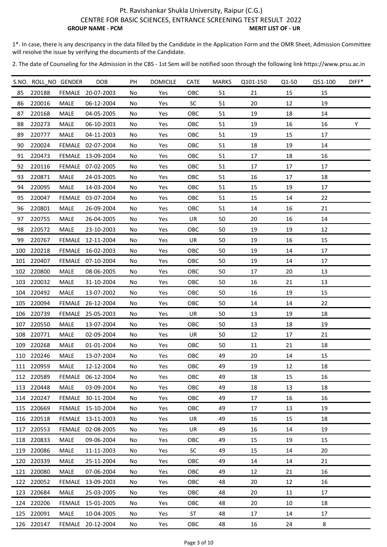1\*. In case, there is any descripancy in the data filled by the Candidate in the Application Form and the OMR Sheet, Admission Committee will resolve the issue by verifying the documents of the Candidate.

|     | S.NO. ROLL_NO GENDER |             | <b>DOB</b>        | PH  | <b>DOMICILE</b> | <b>CATE</b> | <b>MARKS</b> | Q101-150 | Q1-50 | Q51-100 | $DIFF*$ |
|-----|----------------------|-------------|-------------------|-----|-----------------|-------------|--------------|----------|-------|---------|---------|
| 85  | 220188               |             | FEMALE 20-07-2003 | No  | Yes             | OBC         | 51           | 21       | 15    | 15      |         |
| 86  | 220016               | MALE        | 06-12-2004        | No  | Yes             | <b>SC</b>   | 51           | 20       | 12    | 19      |         |
| 87  | 220168               | <b>MALE</b> | 04-05-2005        | No  | Yes             | OBC         | 51           | 19       | 18    | 14      |         |
| 88  | 220273               | MALE        | 06-10-2003        | No  | Yes             | OBC         | 51           | 19       | 16    | 16      | Υ       |
| 89  | 220777               | MALE        | 04-11-2003        | No  | Yes             | <b>OBC</b>  | 51           | 19       | 15    | 17      |         |
| 90  | 220024               |             | FEMALE 02-07-2004 | No  | Yes             | OBC         | 51           | 18       | 19    | 14      |         |
| 91  | 220473               |             | FEMALE 13-09-2004 | No  | Yes             | OBC         | 51           | 17       | 18    | 16      |         |
| 92  | 220116               |             | FEMALE 07-02-2005 | No  | Yes             | OBC         | 51           | 17       | 17    | 17      |         |
| 93  | 220871               | MALE        | 24-03-2005        | No  | Yes             | OBC         | 51           | 16       | 17    | 18      |         |
| 94  | 220095               | MALE        | 14-03-2004        | No  | Yes             | OBC         | 51           | 15       | 19    | 17      |         |
| 95  | 220047               |             | FEMALE 03-07-2004 | No  | Yes             | OBC         | 51           | 15       | 14    | 22      |         |
| 96  | 220801               | <b>MALE</b> | 26-09-2004        | No  | Yes             | OBC         | 51           | 14       | 16    | 21      |         |
| 97  | 220755               | MALE        | 26-04-2005        | No  | Yes             | UR          | 50           | 20       | 16    | 14      |         |
| 98  | 220572               | MALE        | 23-10-2003        | No  | Yes             | OBC         | 50           | 19       | 19    | 12      |         |
| 99  | 220767               | FEMALE      | 12-11-2004        | No  | Yes             | UR          | 50           | 19       | 16    | 15      |         |
| 100 | 220218               |             | FEMALE 16-02-2003 | No  | Yes             | OBC         | 50           | 19       | 14    | 17      |         |
|     | 101 220407           |             | FEMALE 07-10-2004 | No  | Yes             | OBC         | 50           | 19       | 14    | 17      |         |
|     | 102 220800           | MALE        | 08-06-2005        | No  | Yes             | OBC         | 50           | 17       | 20    | 13      |         |
|     | 103 220032           | MALE        | 31-10-2004        | No  | Yes             | OBC         | 50           | 16       | 21    | 13      |         |
| 104 | 220492               | <b>MALE</b> | 13-07-2002        | No  | Yes             | OBC         | 50           | 16       | 19    | 15      |         |
| 105 | 220094               |             | FEMALE 26-12-2004 | No  | Yes             | OBC         | 50           | 14       | 14    | 22      |         |
|     | 106 220739           |             | FEMALE 25-05-2003 | No  | Yes             | UR          | 50           | 13       | 19    | 18      |         |
| 107 | 220550               | MALE        | 13-07-2004        | No  | Yes             | OBC         | 50           | 13       | 18    | 19      |         |
|     | 108 220771           | MALE        | 02-09-2004        | No  | Yes             | UR          | 50           | 12       | 17    | 21      |         |
|     | 109 220268           | MALE        | 01-01-2004        | No  | Yes             | OBC         | 50           | 11       | 21    | 18      |         |
|     | 110 220246           | <b>MALE</b> | 13-07-2004        | No  | Yes             | OBC         | 49           | 20       | 14    | 15      |         |
|     | 111 220959           | MALE        | 12-12-2004        | No  | Yes             | OBC         | 49           | 19       | 12    | 18      |         |
|     | 112 220589           |             | FEMALE 06-12-2004 | No. | Yes             | <b>OBC</b>  | 49           | 18       | 15    | 16      |         |
|     | 113 220448           | MALE        | 03-09-2004        | No  | Yes             | OBC         | 49           | 18       | 13    | 18      |         |
|     | 114 220247           |             | FEMALE 30-11-2004 | No  | Yes             | OBC         | 49           | 17       | 16    | 16      |         |
|     | 115 220669           |             | FEMALE 15-10-2004 | No  | Yes             | <b>OBC</b>  | 49           | 17       | 13    | 19      |         |
|     | 116 220518           |             | FEMALE 13-11-2003 | No  | Yes             | UR          | 49           | 16       | 15    | 18      |         |
|     | 117 220553           |             | FEMALE 02-08-2005 | No  | Yes             | UR          | 49           | 16       | 14    | 19      |         |
|     | 118 220833           | MALE        | 09-06-2004        | No  | Yes             | OBC         | 49           | 15       | 19    | 15      |         |
|     | 119 220086           | MALE        | 11-11-2003        | No  | Yes             | SC          | 49           | 15       | 14    | 20      |         |
|     | 120 220339           | <b>MALE</b> | 25-11-2004        | No  | Yes             | <b>OBC</b>  | 49           | 14       | 14    | 21      |         |
|     | 121 220080           | <b>MALE</b> | 07-06-2004        | No  | Yes             | OBC         | 49           | 12       | 21    | 16      |         |
|     | 122 220052           |             | FEMALE 13-09-2003 | No  | Yes             | OBC         | 48           | 20       | 12    | 16      |         |
|     | 123 220684           | MALE        | 25-03-2005        | No  | Yes             | OBC         | 48           | 20       | 11    | 17      |         |
|     | 124 220206           |             | FEMALE 15-01-2005 | No  | Yes             | OBC         | 48           | 20       | 10    | 18      |         |
|     | 125 220091           | MALE        | 10-04-2005        | No  | Yes             | <b>ST</b>   | 48           | 17       | 14    | 17      |         |
|     | 126 220147           |             | FEMALE 20-12-2004 | No  | Yes             | OBC         | 48           | 16       | 24    | 8       |         |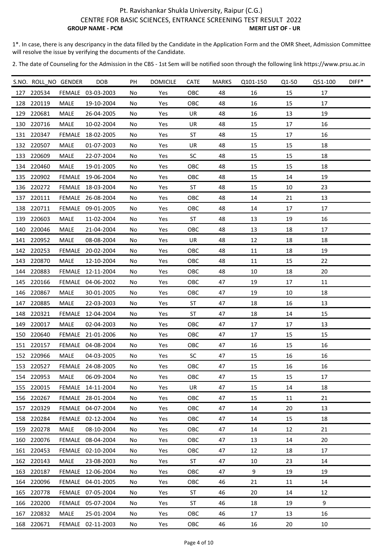1\*. In case, there is any descripancy in the data filled by the Candidate in the Application Form and the OMR Sheet, Admission Committee will resolve the issue by verifying the documents of the Candidate.

|     | S.NO. ROLL_NO GENDER |             | <b>DOB</b>        | PH  | <b>DOMICILE</b> | <b>CATE</b> | <b>MARKS</b> | Q101-150 | Q1-50 | Q51-100 | DIFF* |
|-----|----------------------|-------------|-------------------|-----|-----------------|-------------|--------------|----------|-------|---------|-------|
|     | 127 220534           |             | FEMALE 03-03-2003 | No  | Yes             | OBC         | 48           | 16       | 15    | 17      |       |
|     | 128 220119           | MALE        | 19-10-2004        | No  | Yes             | OBC         | 48           | 16       | 15    | 17      |       |
| 129 | 220681               | MALE        | 26-04-2005        | No  | Yes             | UR          | 48           | 16       | 13    | 19      |       |
| 130 | 220716               | <b>MALE</b> | 10-02-2004        | No  | Yes             | UR          | 48           | 15       | 17    | 16      |       |
|     | 131 220347           | FEMALE      | 18-02-2005        | No  | Yes             | ST          | 48           | 15       | 17    | 16      |       |
|     | 132 220507           | <b>MALE</b> | 01-07-2003        | No  | Yes             | UR          | 48           | 15       | 15    | 18      |       |
|     | 133 220609           | MALE        | 22-07-2004        | No  | Yes             | <b>SC</b>   | 48           | 15       | 15    | 18      |       |
|     | 134 220460           | MALE        | 19-01-2005        | No  | Yes             | OBC         | 48           | 15       | 15    | 18      |       |
| 135 | 220902               |             | FEMALE 19-06-2004 | No  | Yes             | OBC         | 48           | 15       | 14    | 19      |       |
|     | 136 220272           |             | FEMALE 18-03-2004 | No  | Yes             | ST          | 48           | 15       | 10    | 23      |       |
|     | 137 220111           |             | FEMALE 26-08-2004 | No  | Yes             | OBC         | 48           | 14       | 21    | 13      |       |
| 138 | 220711               |             | FEMALE 09-01-2005 | No  | Yes             | OBC         | 48           | 14       | 17    | 17      |       |
| 139 | 220603               | MALE        | 11-02-2004        | No  | Yes             | ST          | 48           | 13       | 19    | 16      |       |
| 140 | 220046               | MALE        | 21-04-2004        | No  | Yes             | OBC         | 48           | 13       | 18    | 17      |       |
|     | 141 220952           | MALE        | 08-08-2004        | No  | Yes             | UR          | 48           | 12       | 18    | 18      |       |
|     | 142 220253           |             | FEMALE 20-02-2004 | No  | Yes             | OBC         | 48           | 11       | 18    | 19      |       |
| 143 | 220870               | MALE        | 12-10-2004        | No  | Yes             | OBC         | 48           | 11       | 15    | 22      |       |
|     | 144 220883           | FEMALE      | 12-11-2004        | No  | Yes             | OBC         | 48           | 10       | 18    | 20      |       |
|     | 145 220166           |             | FEMALE 04-06-2002 | No  | Yes             | OBC         | 47           | 19       | 17    | 11      |       |
|     | 146 220867           | MALE        | 30-01-2005        | No  | Yes             | OBC         | 47           | 19       | 10    | 18      |       |
|     | 147 220885           | <b>MALE</b> | 22-03-2003        | No  | Yes             | <b>ST</b>   | 47           | 18       | 16    | 13      |       |
|     | 148 220321           |             | FEMALE 12-04-2004 | No  | Yes             | ST          | 47           | 18       | 14    | 15      |       |
| 149 | 220017               | MALE        | 02-04-2003        | No  | Yes             | OBC         | 47           | 17       | 17    | 13      |       |
|     | 150 220640           |             | FEMALE 21-01-2006 | No  | Yes             | OBC         | 47           | 17       | 15    | 15      |       |
|     | 151 220157           |             | FEMALE 04-08-2004 | No  | Yes             | OBC         | 47           | 16       | 15    | 16      |       |
|     | 152 220966           | MALE        | 04-03-2005        | No  | Yes             | SC          | 47           | 15       | 16    | 16      |       |
|     | 153 220527           |             | FEMALE 24-08-2005 | No  | Yes             | OBC         | 47           | 15       | 16    | 16      |       |
|     | 154 220953           | MALE        | 06-09-2004        | No. | <b>Yes</b>      | <b>OBC</b>  | 47           | 15       | 15    | 17      |       |
|     | 155 220015           |             | FEMALE 14-11-2004 | No  | Yes             | UR          | 47           | 15       | 14    | 18      |       |
|     | 156 220267           |             | FEMALE 28-01-2004 | No  | Yes             | OBC         | 47           | 15       | 11    | 21      |       |
|     | 157 220329           |             | FEMALE 04-07-2004 | No  | Yes             | OBC         | 47           | 14       | 20    | 13      |       |
|     | 158 220284           |             | FEMALE 02-12-2004 | No  | Yes             | OBC         | 47           | 14       | 15    | 18      |       |
|     | 159 220278           | <b>MALE</b> | 08-10-2004        | No  | Yes             | OBC         | 47           | 14       | 12    | 21      |       |
|     | 160 220076           |             | FEMALE 08-04-2004 | No  | Yes             | OBC         | 47           | 13       | 14    | 20      |       |
|     | 161 220453           |             | FEMALE 02-10-2004 | No  | Yes             | <b>OBC</b>  | 47           | 12       | 18    | 17      |       |
|     | 162 220143           | MALE        | 23-08-2003        | No  | Yes             | ST          | 47           | 10       | 23    | 14      |       |
|     | 163 220187           |             | FEMALE 12-06-2004 | No  | Yes             | OBC         | 47           | 9        | 19    | 19      |       |
|     | 164 220096           |             | FEMALE 04-01-2005 | No  | Yes             | <b>OBC</b>  | 46           | 21       | 11    | 14      |       |
|     | 165 220778           |             | FEMALE 07-05-2004 | No  | Yes             | ST          | 46           | 20       | 14    | 12      |       |
|     | 166 220200           |             | FEMALE 05-07-2004 | No  | Yes             | ST          | 46           | 18       | 19    | 9       |       |
|     | 167 220832           | MALE        | 25-01-2004        | No  | Yes             | <b>OBC</b>  | 46           | 17       | 13    | 16      |       |
|     | 168 220671           |             | FEMALE 02-11-2003 | No  | Yes             | OBC         | 46           | 16       | 20    | 10      |       |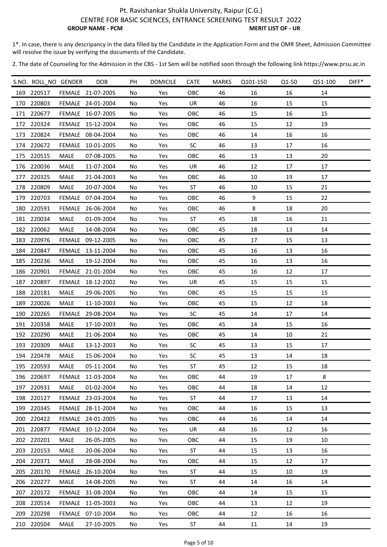1\*. In case, there is any descripancy in the data filled by the Candidate in the Application Form and the OMR Sheet, Admission Committee will resolve the issue by verifying the documents of the Candidate.

|     | S.NO. ROLL NO GENDER |             | <b>DOB</b>        | PH  | <b>DOMICILE</b> | <b>CATE</b> | <b>MARKS</b> | Q101-150 | Q1-50 | Q51-100 | $DIFF*$ |
|-----|----------------------|-------------|-------------------|-----|-----------------|-------------|--------------|----------|-------|---------|---------|
|     | 169 220517           |             | FEMALE 21-07-2005 | No  | Yes             | OBC         | 46           | 16       | 16    | 14      |         |
|     | 170 220803           |             | FEMALE 24-01-2004 | No  | Yes             | UR          | 46           | 16       | 15    | 15      |         |
|     | 171 220677           |             | FEMALE 16-07-2005 | No  | Yes             | OBC         | 46           | 15       | 16    | 15      |         |
|     | 172 220324           |             | FEMALE 15-12-2004 | No  | Yes             | OBC         | 46           | 15       | 12    | 19      |         |
|     | 173 220824           |             | FEMALE 08-04-2004 | No  | Yes             | OBC         | 46           | 14       | 16    | 16      |         |
|     | 174 220672           |             | FEMALE 10-01-2005 | No  | Yes             | SC          | 46           | 13       | 17    | 16      |         |
|     | 175 220515           | MALE        | 07-08-2005        | No  | Yes             | OBC         | 46           | 13       | 13    | 20      |         |
|     | 176 220036           | MALE        | 11-07-2004        | No  | Yes             | UR          | 46           | 12       | 17    | 17      |         |
| 177 | 220325               | MALE        | 21-04-2003        | No  | Yes             | OBC         | 46           | 10       | 19    | 17      |         |
|     | 178 220809           | MALE        | 20-07-2004        | No  | Yes             | ST          | 46           | 10       | 15    | 21      |         |
|     | 179 220703           |             | FEMALE 07-04-2004 | No  | Yes             | OBC         | 46           | 9        | 15    | 22      |         |
| 180 | 220591               |             | FEMALE 26-06-2004 | No  | Yes             | OBC         | 46           | 8        | 18    | 20      |         |
|     | 181 220034           | MALE        | 01-09-2004        | No  | Yes             | ST          | 45           | 18       | 16    | 11      |         |
|     | 182 220062           | MALE        | 14-08-2004        | No  | Yes             | OBC         | 45           | 18       | 13    | 14      |         |
| 183 | 220976               |             | FEMALE 09-12-2005 | No  | Yes             | OBC         | 45           | 17       | 15    | 13      |         |
|     | 184 220847           |             | FEMALE 13-11-2004 | No  | Yes             | OBC         | 45           | 16       | 13    | 16      |         |
|     | 185 220236           | MALE        | 19-12-2004        | No  | Yes             | OBC         | 45           | 16       | 13    | 16      |         |
|     | 186 220901           |             | FEMALE 21-01-2004 | No  | Yes             | OBC         | 45           | 16       | 12    | 17      |         |
|     | 187 220897           |             | FEMALE 18-12-2002 | No  | Yes             | UR          | 45           | 15       | 15    | 15      |         |
| 188 | 220181               | MALE        | 29-06-2005        | No  | Yes             | OBC         | 45           | 15       | 15    | 15      |         |
| 189 | 220026               | <b>MALE</b> | 11-10-2003        | No  | Yes             | OBC         | 45           | 15       | 12    | 18      |         |
|     | 190 220265           |             | FEMALE 29-08-2004 | No  | Yes             | <b>SC</b>   | 45           | 14       | 17    | 14      |         |
|     | 191 220358           | MALE        | 17-10-2003        | No  | Yes             | OBC         | 45           | 14       | 15    | 16      |         |
|     | 192 220290           | MALE        | 21-06-2004        | No  | Yes             | OBC         | 45           | 14       | 10    | 21      |         |
|     | 193 220309           | MALE        | 13-12-2003        | No  | Yes             | <b>SC</b>   | 45           | 13       | 15    | 17      |         |
|     | 194 220478           | <b>MALE</b> | 15-06-2004        | No  | Yes             | SC          | 45           | 13       | 14    | 18      |         |
|     | 195 220593           | MALE        | 05-11-2004        | No  | Yes             | ST          | 45           | 12       | 15    | 18      |         |
|     | 196 220697           |             | FEMALE 11-03-2004 | No. | Yes             | OBC         | 44           | 19       | 17    | 8       |         |
|     | 197 220931           | MALE        | 01-02-2004        | No  | Yes             | OBC         | 44           | 18       | 14    | 12      |         |
|     | 198 220127           |             | FEMALE 23-03-2004 | No  | Yes             | ST          | 44           | 17       | 13    | 14      |         |
|     | 199 220345           |             | FEMALE 28-11-2004 | No  | Yes             | OBC         | 44           | 16       | 15    | 13      |         |
|     | 200 220422           |             | FEMALE 24-01-2005 | No  | Yes             | OBC         | 44           | 16       | 14    | 14      |         |
|     | 201 220877           |             | FEMALE 10-12-2004 | No  | Yes             | UR          | 44           | 16       | 12    | 16      |         |
|     | 202 220201           | MALE        | 26-05-2005        | No  | Yes             | OBC         | 44           | 15       | 19    | 10      |         |
|     | 203 220153           | MALE        | 20-06-2004        | No  | Yes             | ST          | 44           | 15       | 13    | 16      |         |
|     | 204 220371           | <b>MALE</b> | 28-08-2004        | No  | Yes             | OBC         | 44           | 15       | 12    | 17      |         |
|     | 205 220170           |             | FEMALE 26-10-2004 | No  | Yes             | ST          | 44           | 15       | 10    | 19      |         |
|     | 206 220277           | MALE        | 14-08-2005        | No  | Yes             | ST          | 44           | 14       | 16    | 14      |         |
|     | 207 220172           |             | FEMALE 31-08-2004 | No  | Yes             | OBC         | 44           | 14       | 15    | 15      |         |
|     | 208 220514           |             | FEMALE 11-05-2003 | No  | Yes             | OBC         | 44           | 13       | 12    | 19      |         |
|     | 209 220298           |             | FEMALE 07-10-2004 | No  | Yes             | OBC         | 44           | 12       | 16    | 16      |         |
|     | 210 220504           | MALE        | 27-10-2005        | No  | Yes             | ST          | 44           | 11       | 14    | 19      |         |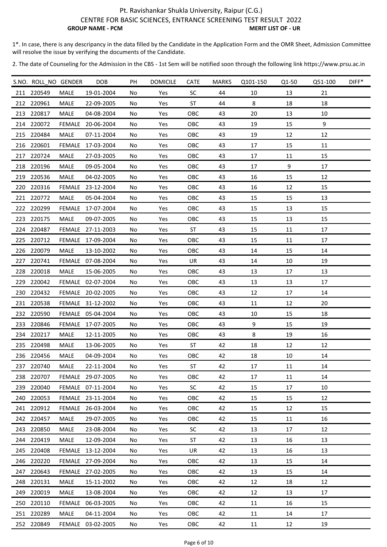1\*. In case, there is any descripancy in the data filled by the Candidate in the Application Form and the OMR Sheet, Admission Committee will resolve the issue by verifying the documents of the Candidate.

|     | S.NO. ROLL_NO GENDER |             | <b>DOB</b>        | PH  | <b>DOMICILE</b> | <b>CATE</b> | <b>MARKS</b> | Q101-150 | Q1-50 | Q51-100 | DIFF* |
|-----|----------------------|-------------|-------------------|-----|-----------------|-------------|--------------|----------|-------|---------|-------|
|     | 211 220549           | <b>MALE</b> | 19-01-2004        | No  | Yes             | <b>SC</b>   | 44           | 10       | 13    | 21      |       |
|     | 212 220961           | MALE        | 22-09-2005        | No  | Yes             | ST          | 44           | 8        | 18    | 18      |       |
|     | 213 220817           | <b>MALE</b> | 04-08-2004        | No  | Yes             | OBC         | 43           | 20       | 13    | 10      |       |
|     | 214 220072           | FEMALE      | 20-06-2004        | No  | Yes             | OBC         | 43           | 19       | 15    | 9       |       |
|     | 215 220484           | MALE        | 07-11-2004        | No  | Yes             | OBC         | 43           | 19       | 12    | 12      |       |
|     | 216 220601           |             | FEMALE 17-03-2004 | No  | Yes             | OBC         | 43           | 17       | 15    | 11      |       |
|     | 217 220724           | MALE        | 27-03-2005        | No  | Yes             | OBC         | 43           | 17       | 11    | 15      |       |
|     | 218 220196           | MALE        | 09-05-2004        | No  | Yes             | OBC         | 43           | 17       | 9     | 17      |       |
|     | 219 220536           | MALE        | 04-02-2005        | No  | Yes             | OBC         | 43           | 16       | 15    | 12      |       |
|     | 220 220316           |             | FEMALE 23-12-2004 | No  | Yes             | OBC         | 43           | 16       | 12    | 15      |       |
|     | 221 220772           | <b>MALE</b> | 05-04-2004        | No  | Yes             | OBC         | 43           | 15       | 15    | 13      |       |
|     | 222 220299           |             | FEMALE 17-07-2004 | No  | Yes             | OBC         | 43           | 15       | 13    | 15      |       |
|     | 223 220175           | MALE        | 09-07-2005        | No  | Yes             | OBC         | 43           | 15       | 13    | 15      |       |
|     | 224 220487           |             | FEMALE 27-11-2003 | No  | Yes             | <b>ST</b>   | 43           | 15       | 11    | 17      |       |
| 225 | 220712               |             | FEMALE 17-09-2004 | No  | Yes             | OBC         | 43           | 15       | 11    | 17      |       |
|     | 226 220079           | MALE        | 13-10-2002        | No  | Yes             | OBC         | 43           | 14       | 15    | 14      |       |
| 227 | 220741               |             | FEMALE 07-08-2004 | No  | Yes             | UR          | 43           | 14       | 10    | 19      |       |
| 228 | 220018               | MALE        | 15-06-2005        | No  | Yes             | OBC         | 43           | 13       | 17    | 13      |       |
|     | 229 220042           |             | FEMALE 02-07-2004 | No  | Yes             | OBC         | 43           | 13       | 13    | 17      |       |
|     | 230 220432           |             | FEMALE 20-02-2005 | No  | Yes             | OBC         | 43           | 12       | 17    | 14      |       |
|     | 231 220538           |             | FEMALE 31-12-2002 | No  | Yes             | OBC         | 43           | 11       | 12    | 20      |       |
|     | 232 220590           |             | FEMALE 05-04-2004 | No  | Yes             | OBC         | 43           | 10       | 15    | 18      |       |
| 233 | 220846               |             | FEMALE 17-07-2005 | No  | Yes             | OBC         | 43           | 9        | 15    | 19      |       |
|     | 234 220217           | <b>MALE</b> | 12-11-2005        | No  | Yes             | OBC         | 43           | 8        | 19    | 16      |       |
|     | 235 220498           | MALE        | 13-06-2005        | No  | Yes             | ST          | 42           | 18       | 12    | 12      |       |
|     | 236 220456           | MALE        | 04-09-2004        | No  | Yes             | OBC         | 42           | 18       | 10    | 14      |       |
|     | 237 220740           | MALE        | 22-11-2004        | No  | Yes             | ST          | 42           | 17       | 11    | 14      |       |
|     | 238 220707           |             | FEMALE 29-07-2005 | No. | Yes             | OBC         | 42           | 17       | 11    | 14      |       |
|     | 239 220040           |             | FEMALE 07-11-2004 | No  | Yes             | SC          | 42           | 15       | 17    | 10      |       |
|     | 240 220053           |             | FEMALE 23-11-2004 | No  | Yes             | OBC         | 42           | 15       | 15    | 12      |       |
|     | 241 220912           |             | FEMALE 26-03-2004 | No  | Yes             | OBC         | 42           | 15       | 12    | 15      |       |
|     | 242 220457           | MALE        | 29-07-2005        | No  | Yes             | OBC         | 42           | 15       | 11    | 16      |       |
|     | 243 220850           | <b>MALE</b> | 23-08-2004        | No  | Yes             | SC          | 42           | 13       | 17    | 12      |       |
|     | 244 220419           | MALE        | 12-09-2004        | No  | Yes             | ST          | 42           | 13       | 16    | 13      |       |
|     | 245 220408           |             | FEMALE 13-12-2004 | No  | Yes             | UR          | 42           | 13       | 16    | 13      |       |
|     | 246 220220           |             | FEMALE 27-09-2004 | No  | Yes             | <b>OBC</b>  | 42           | 13       | 15    | 14      |       |
|     | 247 220643           |             | FEMALE 27-02-2005 | No  | Yes             | OBC         | 42           | 13       | 15    | 14      |       |
|     | 248 220131           | <b>MALE</b> | 15-11-2002        | No  | Yes             | <b>OBC</b>  | 42           | 12       | 18    | 12      |       |
|     | 249 220019           | <b>MALE</b> | 13-08-2004        | No  | Yes             | OBC         | 42           | 12       | 13    | 17      |       |
|     | 250 220110           |             | FEMALE 06-03-2005 | No  | Yes             | OBC         | 42           | 11       | 16    | 15      |       |
|     | 251 220289           | <b>MALE</b> | 04-11-2004        | No  | Yes             | OBC         | 42           | 11       | 14    | 17      |       |
|     | 252 220849           |             | FEMALE 03-02-2005 | No  | Yes             | OBC         | 42           | 11       | 12    | 19      |       |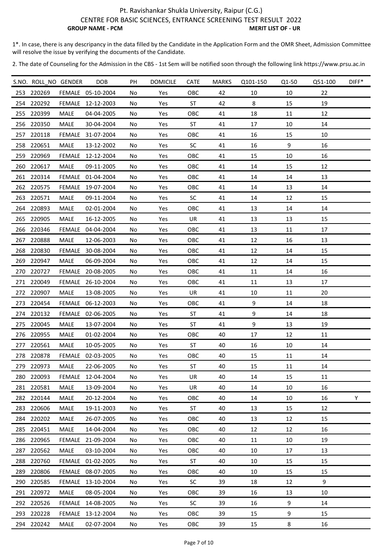1\*. In case, there is any descripancy in the data filled by the Candidate in the Application Form and the OMR Sheet, Admission Committee will resolve the issue by verifying the documents of the Candidate.

|     | S.NO. ROLL_NO GENDER |             | <b>DOB</b>        | PH | <b>DOMICILE</b> | CATE      | <b>MARKS</b> | Q101-150 | Q1-50  | Q51-100 | DIFF* |
|-----|----------------------|-------------|-------------------|----|-----------------|-----------|--------------|----------|--------|---------|-------|
|     | 253 220269           |             | FEMALE 05-10-2004 | No | Yes             | OBC       | 42           | 10       | 10     | 22      |       |
|     | 254 220292           |             | FEMALE 12-12-2003 | No | Yes             | <b>ST</b> | 42           | 8        | 15     | 19      |       |
|     | 255 220399           | <b>MALE</b> | 04-04-2005        | No | Yes             | OBC       | 41           | 18       | 11     | 12      |       |
|     | 256 220350           | MALE        | 30-04-2004        | No | Yes             | ST        | 41           | 17       | $10\,$ | 14      |       |
|     | 257 220118           |             | FEMALE 31-07-2004 | No | Yes             | OBC       | 41           | 16       | 15     | 10      |       |
| 258 | 220651               | MALE        | 13-12-2002        | No | Yes             | <b>SC</b> | 41           | 16       | 9      | 16      |       |
|     | 259 220969           |             | FEMALE 12-12-2004 | No | Yes             | OBC       | 41           | 15       | 10     | 16      |       |
|     | 260 220617           | <b>MALE</b> | 09-11-2005        | No | Yes             | OBC       | 41           | 14       | 15     | 12      |       |
| 261 | 220314               |             | FEMALE 01-04-2004 | No | Yes             | OBC       | 41           | 14       | 14     | 13      |       |
|     | 262 220575           |             | FEMALE 19-07-2004 | No | Yes             | OBC       | 41           | 14       | 13     | 14      |       |
|     | 263 220571           | MALE        | 09-11-2004        | No | Yes             | <b>SC</b> | 41           | 14       | 12     | 15      |       |
|     | 264 220893           | MALE        | 02-01-2004        | No | Yes             | OBC       | 41           | 13       | 14     | 14      |       |
|     | 265 220905           | <b>MALE</b> | 16-12-2005        | No | Yes             | UR        | 41           | 13       | 13     | 15      |       |
|     | 266 220346           |             | FEMALE 04-04-2004 | No | Yes             | OBC       | 41           | 13       | 11     | 17      |       |
| 267 | 220888               | <b>MALE</b> | 12-06-2003        | No | Yes             | OBC       | 41           | 12       | 16     | 13      |       |
|     | 268 220830           |             | FEMALE 30-08-2004 | No | Yes             | OBC       | 41           | 12       | 14     | 15      |       |
| 269 | 220947               | MALE        | 06-09-2004        | No | Yes             | OBC       | 41           | 12       | 14     | 15      |       |
|     | 270 220727           |             | FEMALE 20-08-2005 | No | Yes             | OBC       | 41           | 11       | 14     | 16      |       |
|     | 271 220049           |             | FEMALE 26-10-2004 | No | Yes             | OBC       | 41           | 11       | 13     | 17      |       |
|     | 272 220907           | MALE        | 13-08-2005        | No | Yes             | UR        | 41           | 10       | 11     | 20      |       |
|     | 273 220454           |             | FEMALE 06-12-2003 | No | Yes             | OBC       | 41           | 9        | 14     | 18      |       |
|     | 274 220132           |             | FEMALE 02-06-2005 | No | Yes             | <b>ST</b> | 41           | 9        | 14     | 18      |       |
| 275 | 220045               | <b>MALE</b> | 13-07-2004        | No | Yes             | <b>ST</b> | 41           | 9        | 13     | 19      |       |
|     | 276 220955           | MALE        | 01-02-2004        | No | Yes             | OBC       | 40           | 17       | 12     | 11      |       |
| 277 | 220561               | MALE        | 10-05-2005        | No | Yes             | <b>ST</b> | 40           | 16       | 10     | 14      |       |
|     | 278 220878           |             | FEMALE 02-03-2005 | No | Yes             | OBC       | 40           | 15       | 11     | 14      |       |
|     | 279 220973           | MALE        | 22-06-2005        | No | Yes             | ST        | 40           | 15       | 11     | 14      |       |
|     | 280 220093           |             | FEMALE 12-04-2004 | No | Yes             | UR.       | 40           | 14       | 15     | 11      |       |
|     | 281 220581           | MALE        | 13-09-2004        | No | Yes             | UR        | 40           | 14       | 10     | 16      |       |
|     | 282 220144           | <b>MALE</b> | 20-12-2004        | No | Yes             | OBC       | 40           | 14       | 10     | 16      | Y     |
|     | 283 220606           | MALE        | 19-11-2003        | No | Yes             | ST        | 40           | 13       | 15     | 12      |       |
|     | 284 220202           | MALE        | 26-07-2005        | No | Yes             | OBC       | 40           | 13       | 12     | 15      |       |
|     | 285 220451           | <b>MALE</b> | 14-04-2004        | No | Yes             | OBC       | 40           | 12       | 12     | 16      |       |
|     | 286 220965           |             | FEMALE 21-09-2004 | No | Yes             | OBC       | 40           | 11       | 10     | 19      |       |
|     | 287 220562           | <b>MALE</b> | 03-10-2004        | No | Yes             | OBC       | 40           | 10       | 17     | 13      |       |
|     | 288 220760           |             | FEMALE 01-02-2005 | No | Yes             | <b>ST</b> | 40           | 10       | 15     | 15      |       |
|     | 289 220806           |             | FEMALE 08-07-2005 | No | Yes             | OBC       | 40           | 10       | 15     | 15      |       |
|     | 290 220585           |             | FEMALE 13-10-2004 | No | Yes             | SC        | 39           | 18       | 12     | 9       |       |
|     | 291 220972           | MALE        | 08-05-2004        | No | Yes             | OBC       | 39           | 16       | 13     | 10      |       |
|     | 292 220526           |             | FEMALE 14-08-2005 | No | Yes             | SC        | 39           | 16       | 9      | 14      |       |
|     | 293 220228           |             | FEMALE 13-12-2004 | No | Yes             | OBC       | 39           | 15       | 9      | 15      |       |
|     | 294 220242           | MALE        | 02-07-2004        | No | Yes             | OBC       | 39           | 15       | 8      | 16      |       |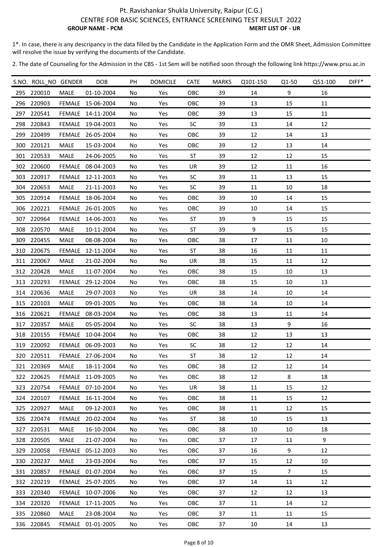1\*. In case, there is any descripancy in the data filled by the Candidate in the Application Form and the OMR Sheet, Admission Committee will resolve the issue by verifying the documents of the Candidate.

|     | S.NO. ROLL_NO GENDER |             | DOB               | PH  | <b>DOMICILE</b> | <b>CATE</b> | <b>MARKS</b> | Q101-150 | Q1-50          | Q51-100 | DIFF* |
|-----|----------------------|-------------|-------------------|-----|-----------------|-------------|--------------|----------|----------------|---------|-------|
|     | 295 220010           | <b>MALE</b> | 01-10-2004        | No  | Yes             | OBC         | 39           | 14       | 9              | 16      |       |
|     | 296 220903           |             | FEMALE 15-06-2004 | No  | Yes             | OBC         | 39           | 13       | 15             | 11      |       |
| 297 | 220541               |             | FEMALE 14-11-2004 | No  | Yes             | OBC         | 39           | 13       | 15             | 11      |       |
|     | 298 220843           |             | FEMALE 19-04-2003 | No  | Yes             | <b>SC</b>   | 39           | 13       | 14             | 12      |       |
|     | 299 220499           |             | FEMALE 26-05-2004 | No  | Yes             | OBC         | 39           | 12       | 14             | 13      |       |
| 300 | 220121               | <b>MALE</b> | 15-03-2004        | No  | Yes             | OBC         | 39           | 12       | 13             | 14      |       |
|     | 301 220533           | <b>MALE</b> | 24-06-2005        | No  | Yes             | <b>ST</b>   | 39           | 12       | 12             | 15      |       |
|     | 302 220600           |             | FEMALE 08-04-2003 | No  | Yes             | UR          | 39           | 12       | 11             | 16      |       |
| 303 | 220917               |             | FEMALE 12-11-2003 | No  | Yes             | SC          | 39           | 11       | 13             | 15      |       |
| 304 | 220653               | MALE        | 21-11-2003        | No  | Yes             | SC          | 39           | 11       | 10             | 18      |       |
|     | 305 220914           |             | FEMALE 18-06-2004 | No  | Yes             | OBC         | 39           | 10       | 14             | 15      |       |
| 306 | 220221               |             | FEMALE 26-01-2005 | No  | Yes             | OBC         | 39           | 10       | 14             | 15      |       |
| 307 | 220964               |             | FEMALE 14-06-2003 | No  | Yes             | ST          | 39           | 9        | 15             | 15      |       |
| 308 | 220570               | MALE        | 10-11-2004        | No  | Yes             | <b>ST</b>   | 39           | 9        | 15             | 15      |       |
| 309 | 220455               | <b>MALE</b> | 08-08-2004        | No  | Yes             | OBC         | 38           | 17       | 11             | 10      |       |
|     | 310 220675           |             | FEMALE 12-11-2004 | No  | Yes             | ST          | 38           | 16       | 11             | 11      |       |
|     | 311 220067           | MALE        | 21-02-2004        | No  | No              | UR          | 38           | 15       | 11             | 12      |       |
|     | 312 220428           | MALE        | 11-07-2004        | No  | Yes             | OBC         | 38           | 15       | 10             | 13      |       |
|     | 313 220293           |             | FEMALE 29-12-2004 | No  | Yes             | OBC         | 38           | 15       | $10\,$         | 13      |       |
|     | 314 220636           | <b>MALE</b> | 29-07-2003        | No  | Yes             | UR          | 38           | 14       | 10             | 14      |       |
|     | 315 220103           | <b>MALE</b> | 09-01-2005        | No  | Yes             | OBC         | 38           | 14       | 10             | 14      |       |
|     | 316 220621           |             | FEMALE 08-03-2004 | No  | Yes             | OBC         | 38           | 13       | 11             | 14      |       |
| 317 | 220357               | <b>MALE</b> | 05-05-2004        | No  | Yes             | SC          | 38           | 13       | 9              | 16      |       |
|     | 318 220155           |             | FEMALE 10-04-2004 | No  | Yes             | OBC         | 38           | 12       | 13             | 13      |       |
|     | 319 220092           |             | FEMALE 06-09-2003 | No  | Yes             | <b>SC</b>   | 38           | 12       | 12             | 14      |       |
| 320 | 220511               |             | FEMALE 27-06-2004 | No  | Yes             | <b>ST</b>   | 38           | 12       | 12             | 14      |       |
|     | 321 220369           |             | MALE 18-11-2004   | No  | Yes             | OBC         | 38           | 12       | 12             | 14      |       |
|     | 322 220625           |             | FEMALE 11-09-2005 | No. | Yes             | OBC         | 38           | 12       | 8              | 18      |       |
|     | 323 220754           |             | FEMALE 07-10-2004 | No  | Yes             | UR          | 38           | 11       | 15             | 12      |       |
|     | 324 220107           |             | FEMALE 16-11-2004 | No  | Yes             | OBC         | 38           | 11       | 15             | 12      |       |
|     | 325 220927           | MALE        | 09-12-2003        | No  | Yes             | <b>OBC</b>  | 38           | 11       | 12             | 15      |       |
|     | 326 220474           |             | FEMALE 20-02-2004 | No  | Yes             | ST          | 38           | 10       | 15             | 13      |       |
|     | 327 220531           | <b>MALE</b> | 16-10-2004        | No  | Yes             | OBC         | 38           | 10       | 10             | 18      |       |
|     | 328 220505           | MALE        | 21-07-2004        | No  | Yes             | OBC         | 37           | 17       | 11             | 9       |       |
|     | 329 220058           |             | FEMALE 05-12-2003 | No  | Yes             | OBC         | 37           | 16       | 9              | 12      |       |
|     | 330 220237           | MALE        | 23-03-2004        | No  | Yes             | <b>OBC</b>  | 37           | 15       | 12             | 10      |       |
|     | 331 220857           |             | FEMALE 01-07-2004 | No  | Yes             | OBC         | 37           | 15       | $\overline{7}$ | 15      |       |
|     | 332 220219           |             | FEMALE 25-07-2005 | No  | Yes             | OBC         | 37           | 14       | 11             | 12      |       |
|     | 333 220340           |             | FEMALE 10-07-2006 | No  | Yes             | OBC         | 37           | 12       | 12             | 13      |       |
|     | 334 220320           |             | FEMALE 17-11-2005 | No  | Yes             | OBC         | 37           | 11       | 14             | 12      |       |
|     | 335 220860           | MALE        | 23-08-2004        | No  | Yes             | <b>OBC</b>  | 37           | 11       | 11             | 15      |       |
|     | 336 220845           |             | FEMALE 01-01-2005 | No  | Yes             | OBC         | 37           | 10       | 14             | 13      |       |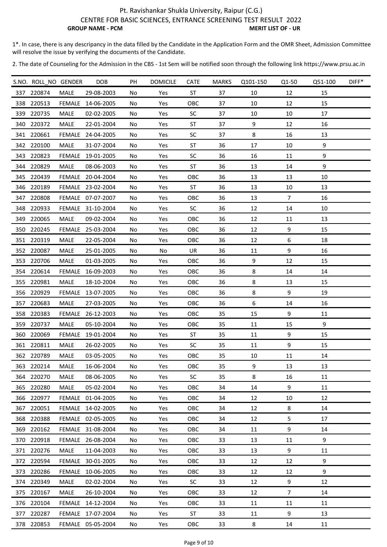1\*. In case, there is any descripancy in the data filled by the Candidate in the Application Form and the OMR Sheet, Admission Committee will resolve the issue by verifying the documents of the Candidate.

|     | S.NO. ROLL_NO GENDER |             | DOB               | PH  | <b>DOMICILE</b> | <b>CATE</b> | <b>MARKS</b> | Q101-150 | Q1-50          | Q51-100 | DIFF* |
|-----|----------------------|-------------|-------------------|-----|-----------------|-------------|--------------|----------|----------------|---------|-------|
|     | 337 220874           | <b>MALE</b> | 29-08-2003        | No  | Yes             | <b>ST</b>   | 37           | 10       | 12             | 15      |       |
|     | 338 220513           |             | FEMALE 14-06-2005 | No  | Yes             | OBC         | 37           | 10       | 12             | 15      |       |
| 339 | 220735               | <b>MALE</b> | 02-02-2005        | No  | Yes             | SC          | 37           | 10       | 10             | 17      |       |
|     | 340 220372           | MALE        | 22-01-2004        | No  | Yes             | <b>ST</b>   | 37           | 9        | 12             | 16      |       |
|     | 341 220661           |             | FEMALE 24-04-2005 | No  | Yes             | <b>SC</b>   | 37           | 8        | 16             | 13      |       |
| 342 | 220100               | <b>MALE</b> | 31-07-2004        | No  | Yes             | ST          | 36           | 17       | 10             | 9       |       |
|     | 343 220823           |             | FEMALE 19-01-2005 | No  | Yes             | SC          | 36           | 16       | 11             | 9       |       |
|     | 344 220829           | <b>MALE</b> | 08-06-2003        | No  | Yes             | ST          | 36           | 13       | 14             | 9       |       |
|     | 345 220439           |             | FEMALE 20-04-2004 | No  | Yes             | OBC         | 36           | 13       | 13             | 10      |       |
|     | 346 220189           |             | FEMALE 23-02-2004 | No  | Yes             | ST          | 36           | 13       | 10             | 13      |       |
| 347 | 220808               |             | FEMALE 07-07-2007 | No  | Yes             | OBC         | 36           | 13       | $\overline{7}$ | 16      |       |
| 348 | 220933               |             | FEMALE 31-10-2004 | No  | Yes             | <b>SC</b>   | 36           | 12       | 14             | 10      |       |
| 349 | 220065               | MALE        | 09-02-2004        | No  | Yes             | OBC         | 36           | 12       | 11             | 13      |       |
| 350 | 220245               |             | FEMALE 25-03-2004 | No  | Yes             | OBC         | 36           | 12       | 9              | 15      |       |
|     | 351 220319           | <b>MALE</b> | 22-05-2004        | No  | Yes             | OBC         | 36           | 12       | 6              | 18      |       |
|     | 352 220087           | MALE        | 25-01-2005        | No  | No              | UR          | 36           | 11       | 9              | 16      |       |
|     | 353 220706           | <b>MALE</b> | 01-03-2005        | No  | Yes             | OBC         | 36           | 9        | 12             | 15      |       |
|     | 354 220614           | FEMALE      | 16-09-2003        | No  | Yes             | OBC         | 36           | 8        | 14             | 14      |       |
|     | 355 220981           | MALE        | 18-10-2004        | No  | Yes             | OBC         | 36           | 8        | 13             | 15      |       |
|     | 356 220929           | FEMALE      | 13-07-2005        | No  | Yes             | OBC         | 36           | 8        | 9              | 19      |       |
|     | 357 220683           | <b>MALE</b> | 27-03-2005        | No  | Yes             | OBC         | 36           | 6        | 14             | 16      |       |
|     | 358 220383           |             | FEMALE 26-12-2003 | No  | Yes             | OBC         | 35           | 15       | 9              | 11      |       |
|     | 359 220737           | <b>MALE</b> | 05-10-2004        | No  | Yes             | OBC         | 35           | 11       | 15             | 9       |       |
| 360 | 220069               |             | FEMALE 19-01-2004 | No  | Yes             | <b>ST</b>   | 35           | 11       | 9              | 15      |       |
|     | 361 220811           | <b>MALE</b> | 26-02-2005        | No  | Yes             | <b>SC</b>   | 35           | 11       | 9              | 15      |       |
|     | 362 220789           | <b>MALE</b> | 03-05-2005        | No  | Yes             | OBC         | 35           | 10       | 11             | 14      |       |
|     | 363 220214           | MALE        | 16-06-2004        | No  | Yes             | OBC         | 35           | 9        | 13             | 13      |       |
|     | 364 220270           | MALE        | 08-06-2005        | No. | Yes             | <b>SC</b>   | 35           | 8        | 16             | 11      |       |
|     | 365 220280           | MALE        | 05-02-2004        | No  | Yes             | OBC         | 34           | 14       | 9              | 11      |       |
|     | 366 220977           |             | FEMALE 01-04-2005 | No  | Yes             | OBC         | 34           | 12       | 10             | 12      |       |
|     | 367 220051           |             | FEMALE 14-02-2005 | No  | Yes             | <b>OBC</b>  | 34           | 12       | 8              | 14      |       |
|     | 368 220388           |             | FEMALE 02-05-2005 | No  | Yes             | <b>OBC</b>  | 34           | 12       | 5              | 17      |       |
|     | 369 220162           |             | FEMALE 31-08-2004 | No  | Yes             | OBC         | 34           | 11       | 9              | 14      |       |
|     | 370 220918           |             | FEMALE 26-08-2004 | No  | Yes             | OBC         | 33           | 13       | 11             | 9       |       |
|     | 371 220276           | MALE        | 11-04-2003        | No  | Yes             | OBC         | 33           | 13       | 9              | 11      |       |
|     | 372 220594           |             | FEMALE 30-01-2005 | No  | Yes             | <b>OBC</b>  | 33           | 12       | 12             | 9       |       |
|     | 373 220286           |             | FEMALE 10-06-2005 | No  | Yes             | OBC         | 33           | 12       | 12             | $9\,$   |       |
|     | 374 220349           | <b>MALE</b> | 02-02-2004        | No  | Yes             | SC          | 33           | 12       | 9              | 12      |       |
|     | 375 220167           | MALE        | 26-10-2004        | No  | Yes             | OBC         | 33           | 12       | $7^{\circ}$    | 14      |       |
|     | 376 220104           |             | FEMALE 14-12-2004 | No  | Yes             | OBC         | 33           | 11       | 11             | 11      |       |
|     | 377 220287           |             | FEMALE 17-07-2004 | No  | Yes             | ST          | 33           | 11       | 9              | 13      |       |
|     | 378 220853           |             | FEMALE 05-05-2004 | No  | Yes             | OBC         | 33           | 8        | 14             | 11      |       |